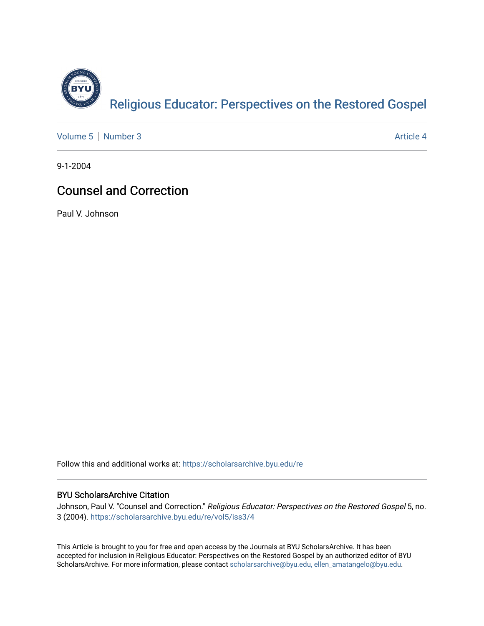

[Volume 5](https://scholarsarchive.byu.edu/re/vol5) | [Number 3](https://scholarsarchive.byu.edu/re/vol5/iss3) Article 4

9-1-2004

## Counsel and Correction

Paul V. Johnson

Follow this and additional works at: [https://scholarsarchive.byu.edu/re](https://scholarsarchive.byu.edu/re?utm_source=scholarsarchive.byu.edu%2Fre%2Fvol5%2Fiss3%2F4&utm_medium=PDF&utm_campaign=PDFCoverPages)

### BYU ScholarsArchive Citation

Johnson, Paul V. "Counsel and Correction." Religious Educator: Perspectives on the Restored Gospel 5, no. 3 (2004). [https://scholarsarchive.byu.edu/re/vol5/iss3/4](https://scholarsarchive.byu.edu/re/vol5/iss3/4?utm_source=scholarsarchive.byu.edu%2Fre%2Fvol5%2Fiss3%2F4&utm_medium=PDF&utm_campaign=PDFCoverPages) 

This Article is brought to you for free and open access by the Journals at BYU ScholarsArchive. It has been accepted for inclusion in Religious Educator: Perspectives on the Restored Gospel by an authorized editor of BYU ScholarsArchive. For more information, please contact [scholarsarchive@byu.edu, ellen\\_amatangelo@byu.edu.](mailto:scholarsarchive@byu.edu,%20ellen_amatangelo@byu.edu)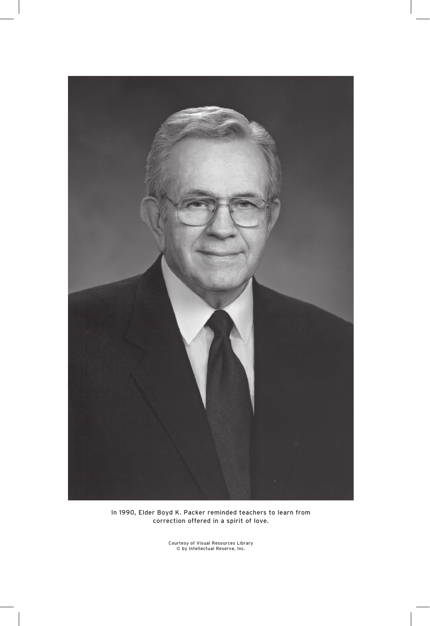

In 1990, Elder Boyd K. Packer reminded teachers to learn from correction offered in a spirit of love.

Courtesy of Visual Resources Library © by Intellectual Reserve, Inc.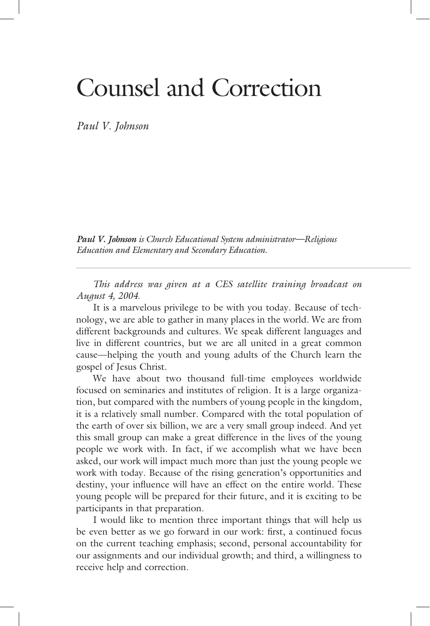# Counsel and Correction

*Paul V. Johnson* 

*Paul V. Johnson is Church Educational System administrator—Religious is Church Educational System administrator—Religious Education and Elementary and Secondary Education.* 

 *This address was given at a CES satellite training broadcast on August 4, 2004.*

 It is a marvelous privilege to be with you today. Because of technology, we are able to gather in many places in the world. We are from different backgrounds and cultures. We speak different languages and live in different countries, but we are all united in a great common cause—helping the youth and young adults of the Church learn the gospel of Jesus Christ.

 We have about two thousand full-time employees worldwide focused on seminaries and institutes of religion. It is a large organization, but compared with the numbers of young people in the kingdom, it is a relatively small number. Compared with the total population of the earth of over six billion, we are a very small group indeed. And yet this small group can make a great difference in the lives of the young people we work with. In fact, if we accomplish what we have been asked, our work will impact much more than just the young people we work with today. Because of the rising generation's opportunities and destiny, your influence will have an effect on the entire world. These young people will be prepared for their future, and it is exciting to be participants in that preparation.

 I would like to mention three important things that will help us be even better as we go forward in our work: first, a continued focus on the current teaching emphasis; second, personal accountability for our assignments and our individual growth; and third, a willingness to receive help and correction.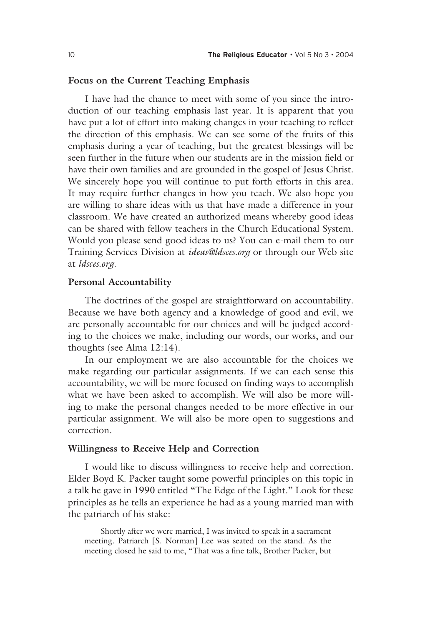#### **Focus on the Current Teaching Emphasis**

 I have had the chance to meet with some of you since the introduction of our teaching emphasis last year. It is apparent that you have put a lot of effort into making changes in your teaching to reflect the direction of this emphasis. We can see some of the fruits of this emphasis during a year of teaching, but the greatest blessings will be seen further in the future when our students are in the mission field or have their own families and are grounded in the gospel of Jesus Christ. We sincerely hope you will continue to put forth efforts in this area. It may require further changes in how you teach. We also hope you are willing to share ideas with us that have made a difference in your classroom. We have created an authorized means whereby good ideas can be shared with fellow teachers in the Church Educational System. Would you please send good ideas to us? You can e-mail them to our Training Services Division at *ideas@ldsces.org* or through our Web site at *ldsces.org.*

#### **Personal Accountability**

 The doctrines of the gospel are straightforward on accountability. Because we have both agency and a knowledge of good and evil, we are personally accountable for our choices and will be judged according to the choices we make, including our words, our works, and our thoughts (see Alma 12:14).

 In our employment we are also accountable for the choices we make regarding our particular assignments. If we can each sense this accountability, we will be more focused on finding ways to accomplish what we have been asked to accomplish. We will also be more willing to make the personal changes needed to be more effective in our particular assignment. We will also be more open to suggestions and correction.

#### **Willingness to Receive Help and Correction**

 I would like to discuss willingness to receive help and correction. Elder Boyd K. Packer taught some powerful principles on this topic in a talk he gave in 1990 entitled "The Edge of the Light." Look for these principles as he tells an experience he had as a young married man with the patriarch of his stake:

 Shortly after we were married, I was invited to speak in a sacrament meeting. Patriarch [S. Norman] Lee was seated on the stand. As the meeting closed he said to me, "That was a fine talk, Brother Packer, but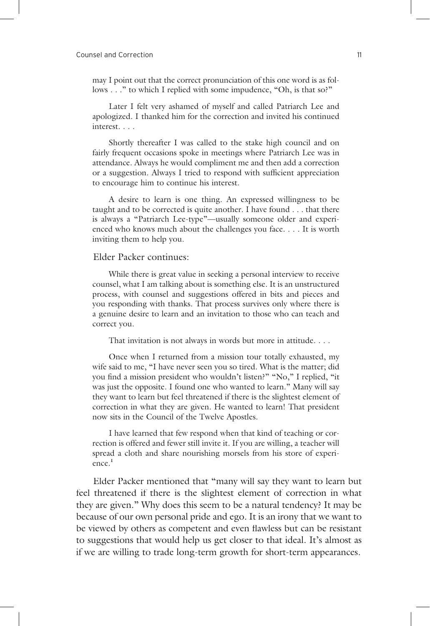may I point out that the correct pronunciation of this one word is as follows . . ." to which I replied with some impudence, "Oh, is that so?"

 Later I felt very ashamed of myself and called Patriarch Lee and apologized. I thanked him for the correction and invited his continued interest. . . .

 Shortly thereafter I was called to the stake high council and on fairly frequent occasions spoke in meetings where Patriarch Lee was in attendance. Always he would compliment me and then add a correction or a suggestion. Always I tried to respond with sufficient appreciation to encourage him to continue his interest.

 A desire to learn is one thing. An expressed willingness to be taught and to be corrected is quite another. I have found . . . that there is always a "Patriarch Lee-type"—usually someone older and experienced who knows much about the challenges you face. . . . It is worth inviting them to help you.

#### Elder Packer continues:

 While there is great value in seeking a personal interview to receive counsel, what I am talking about is something else. It is an unstructured process, with counsel and suggestions offered in bits and pieces and you responding with thanks. That process survives only where there is a genuine desire to learn and an invitation to those who can teach and correct you.

That invitation is not always in words but more in attitude. . . .

 Once when I returned from a mission tour totally exhausted, my wife said to me, "I have never seen you so tired. What is the matter; did you find a mission president who wouldn't listen?" "No," I replied, "it was just the opposite. I found one who wanted to learn." Many will say they want to learn but feel threatened if there is the slightest element of correction in what they are given. He wanted to learn! That president now sits in the Council of the Twelve Apostles.

 I have learned that few respond when that kind of teaching or correction is offered and fewer still invite it. If you are willing, a teacher will spread a cloth and share nourishing morsels from his store of experience.**<sup>1</sup>**

 Elder Packer mentioned that "many will say they want to learn but feel threatened if there is the slightest element of correction in what they are given." Why does this seem to be a natural tendency? It may be because of our own personal pride and ego. It is an irony that we want to be viewed by others as competent and even flawless but can be resistant to suggestions that would help us get closer to that ideal. It's almost as if we are willing to trade long-term growth for short-term appearances.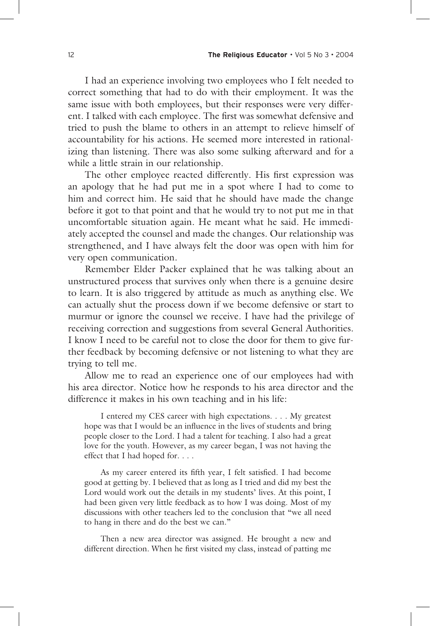I had an experience involving two employees who I felt needed to correct something that had to do with their employment. It was the same issue with both employees, but their responses were very different. I talked with each employee. The first was somewhat defensive and tried to push the blame to others in an attempt to relieve himself of accountability for his actions. He seemed more interested in rationalizing than listening. There was also some sulking afterward and for a while a little strain in our relationship.

The other employee reacted differently. His first expression was an apology that he had put me in a spot where I had to come to him and correct him. He said that he should have made the change before it got to that point and that he would try to not put me in that uncomfortable situation again. He meant what he said. He immediately accepted the counsel and made the changes. Our relationship was strengthened, and I have always felt the door was open with him for very open communication.

 Remember Elder Packer explained that he was talking about an unstructured process that survives only when there is a genuine desire to learn. It is also triggered by attitude as much as anything else. We can actually shut the process down if we become defensive or start to murmur or ignore the counsel we receive. I have had the privilege of receiving correction and suggestions from several General Authorities. I know I need to be careful not to close the door for them to give further feedback by becoming defensive or not listening to what they are trying to tell me.

 Allow me to read an experience one of our employees had with his area director. Notice how he responds to his area director and the difference it makes in his own teaching and in his life:

 I entered my CES career with high expectations. . . . My greatest hope was that I would be an influence in the lives of students and bring people closer to the Lord. I had a talent for teaching. I also had a great love for the youth. However, as my career began, I was not having the effect that I had hoped for. . . .

As my career entered its fifth year, I felt satisfied. I had become good at getting by. I believed that as long as I tried and did my best the Lord would work out the details in my students' lives. At this point, I had been given very little feedback as to how I was doing. Most of my discussions with other teachers led to the conclusion that "we all need to hang in there and do the best we can."

 Then a new area director was assigned. He brought a new and different direction. When he first visited my class, instead of patting me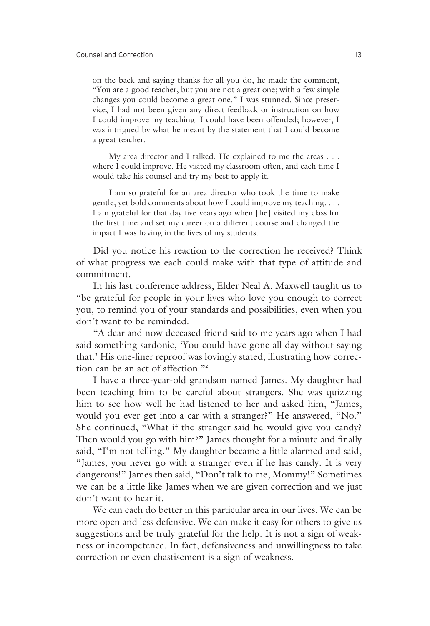on the back and saying thanks for all you do, he made the comment, "You are a good teacher, but you are not a great one; with a few simple changes you could become a great one." I was stunned. Since preservice, I had not been given any direct feedback or instruction on how I could improve my teaching. I could have been offended; however, I was intrigued by what he meant by the statement that I could become a great teacher.

 My area director and I talked. He explained to me the areas . . . where I could improve. He visited my classroom often, and each time I would take his counsel and try my best to apply it.

 I am so grateful for an area director who took the time to make gentle, yet bold comments about how I could improve my teaching. . . . I am grateful for that day five years ago when [he] visited my class for the first time and set my career on a different course and changed the impact I was having in the lives of my students.

 Did you notice his reaction to the correction he received? Think of what progress we each could make with that type of attitude and commitment.

 In his last conference address, Elder Neal A. Maxwell taught us to "be grateful for people in your lives who love you enough to correct you, to remind you of your standards and possibilities, even when you don't want to be reminded.

 "A dear and now deceased friend said to me years ago when I had said something sardonic, 'You could have gone all day without saying that.' His one-liner reproof was lovingly stated, illustrating how correction can be an act of affection."**<sup>2</sup>**

 I have a three-year-old grandson named James. My daughter had been teaching him to be careful about strangers. She was quizzing him to see how well he had listened to her and asked him, "James, would you ever get into a car with a stranger?" He answered, "No." She continued, "What if the stranger said he would give you candy? Then would you go with him?" James thought for a minute and finally said, "I'm not telling." My daughter became a little alarmed and said, "James, you never go with a stranger even if he has candy. It is very dangerous!" James then said, "Don't talk to me, Mommy!" Sometimes we can be a little like James when we are given correction and we just don't want to hear it.

 We can each do better in this particular area in our lives. We can be more open and less defensive. We can make it easy for others to give us suggestions and be truly grateful for the help. It is not a sign of weakness or incompetence. In fact, defensiveness and unwillingness to take correction or even chastisement is a sign of weakness.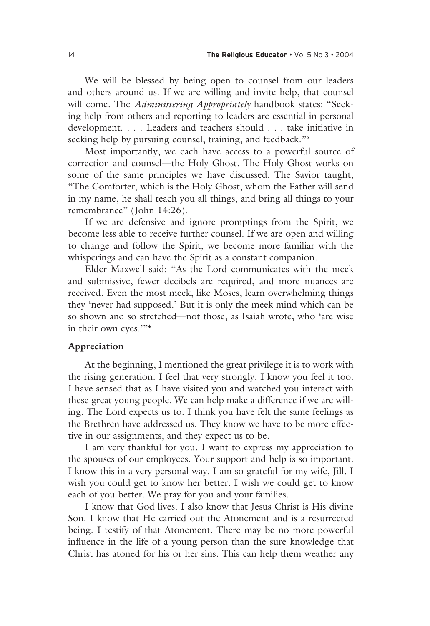We will be blessed by being open to counsel from our leaders and others around us. If we are willing and invite help, that counsel will come. The *Administering Appropriately* handbook states: "Seeking help from others and reporting to leaders are essential in personal development. . . . Leaders and teachers should . . . take initiative in seeking help by pursuing counsel, training, and feedback."**<sup>3</sup>**

 Most importantly, we each have access to a powerful source of correction and counsel—the Holy Ghost. The Holy Ghost works on some of the same principles we have discussed. The Savior taught, "The Comforter, which is the Holy Ghost, whom the Father will send in my name, he shall teach you all things, and bring all things to your remembrance" (John 14:26).

 If we are defensive and ignore promptings from the Spirit, we become less able to receive further counsel. If we are open and willing to change and follow the Spirit, we become more familiar with the whisperings and can have the Spirit as a constant companion.

 Elder Maxwell said: "As the Lord communicates with the meek and submissive, fewer decibels are required, and more nuances are received. Even the most meek, like Moses, learn overwhelming things they 'never had supposed.' But it is only the meek mind which can be so shown and so stretched—not those, as Isaiah wrote, who 'are wise in their own eyes.'"<sup>4</sup>

#### **Appreciation**

 At the beginning, I mentioned the great privilege it is to work with the rising generation. I feel that very strongly. I know you feel it too. I have sensed that as I have visited you and watched you interact with these great young people. We can help make a difference if we are willing. The Lord expects us to. I think you have felt the same feelings as the Brethren have addressed us. They know we have to be more effective in our assignments, and they expect us to be.

 I am very thankful for you. I want to express my appreciation to the spouses of our employees. Your support and help is so important. I know this in a very personal way. I am so grateful for my wife, Jill. I wish you could get to know her better. I wish we could get to know each of you better. We pray for you and your families.

 I know that God lives. I also know that Jesus Christ is His divine Son. I know that He carried out the Atonement and is a resurrected being. I testify of that Atonement. There may be no more powerful influence in the life of a young person than the sure knowledge that Christ has atoned for his or her sins. This can help them weather any